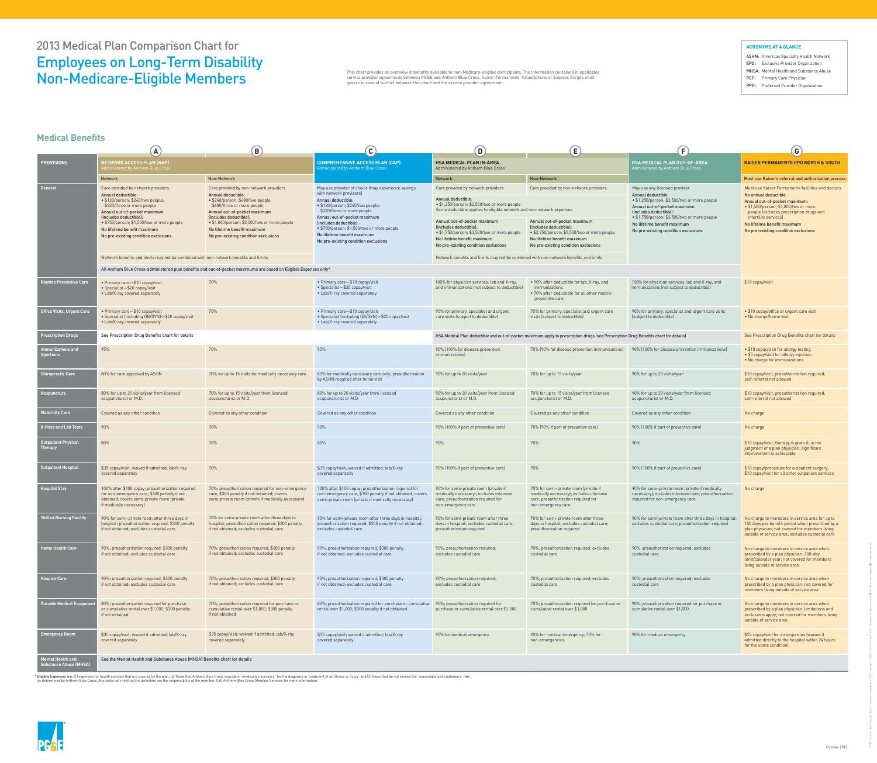\* Eligible Expenses are: (1) expenses for health services that are covered by the plan; (2) those that Anthem Blue Cross considers "medically necessary" for the diagnosis or treatment of an illness or injury; and (3) those as determined by Anthem Blue Cross. Any costs not meeting this definition are the responsibility of the member. Call Anthem Blue Cross Member Services for more information.



ASHN: American Specialty Health Network EPO: Exclusive Provider Organization MHSA: Mental Health and Substance Abuse PCP: Primary Care Physician PPO: Preferred Provider Organization

|                                                           | $\mathbf{A}$                                                                                                                                                                          | (B)                                                                                                                                                                                       | $\mathbf{C}$                                                                                                                                                                                                                                                                                                                                          | $\mathbf{(D)}$                                                                                                                                                                   | (E)                                                                                                                                                                           | $\mathbf{F}$                                                                                                                                                                                                  | $\left( $                                                                                                                                                                                                                                                                                      |
|-----------------------------------------------------------|---------------------------------------------------------------------------------------------------------------------------------------------------------------------------------------|-------------------------------------------------------------------------------------------------------------------------------------------------------------------------------------------|-------------------------------------------------------------------------------------------------------------------------------------------------------------------------------------------------------------------------------------------------------------------------------------------------------------------------------------------------------|----------------------------------------------------------------------------------------------------------------------------------------------------------------------------------|-------------------------------------------------------------------------------------------------------------------------------------------------------------------------------|---------------------------------------------------------------------------------------------------------------------------------------------------------------------------------------------------------------|------------------------------------------------------------------------------------------------------------------------------------------------------------------------------------------------------------------------------------------------------------------------------------------------|
| <b>PROVISIONS</b>                                         | <b>NETWORK ACCESS PLAN (NAP)</b><br><u>Administered by Anthem Blue Cross p</u>                                                                                                        |                                                                                                                                                                                           | <b>COMPREHENSIVE ACCESS PLAN (CAP)</b><br>Administered by Anthem Blue Cross                                                                                                                                                                                                                                                                           | <b>HSA MEDICAL PLAN IN-AREA</b><br>Administered by Anthem Blue Cross                                                                                                             |                                                                                                                                                                               | <b>HSA MEDICAL PLAN OUT-OF-AREA</b><br>Administered by Anthem Blue Cross                                                                                                                                      | <b>KAISER PERMANENTE EPO NORTH &amp; SOUTH</b>                                                                                                                                                                                                                                                 |
|                                                           | <b>Network</b>                                                                                                                                                                        | Non-Network                                                                                                                                                                               |                                                                                                                                                                                                                                                                                                                                                       | <b>Network</b>                                                                                                                                                                   | Non-Network                                                                                                                                                                   |                                                                                                                                                                                                               | Must use Kaiser's referral and authorization process                                                                                                                                                                                                                                           |
| General                                                   | Care provided by network providers<br>Annual deductible:<br>· \$120/person; \$240/two people;<br>\$320/three or more people<br>Annual out-of-pocket maximum<br>(includes deductible): | Care provided by non-network providers<br>Annual deductible:<br>· \$240/person; \$480/two people;<br>\$680/three or more people<br>Annual out-of-pocket maximum<br>(includes deductible): | May use provider of choice (may experience savings<br>with network providers)<br>Annual deductible:<br>· \$120/person; \$240/two people;<br>\$320/three or more people<br>Annual out-of-pocket maximum<br>(includes deductible):<br>• \$750/person; \$1,500/two or more people<br>No lifetime benefit maximum<br>No pre-existing condition exclusions | Care provided by network providers<br>Annual deductible:<br>• \$1,250/person; \$2,500/two or more people<br>Same deductible applies to eligible network and non-network expenses | Care provided by non-network providers                                                                                                                                        | May use any licensed provider<br>Annual deductible:<br>• \$1,250/person; \$2,500/two or more people<br>Annual out-of-pocket maximum<br>(includes deductible):<br>• \$1,750/person; \$3,500/two or more people | Must use Kaiser Permanente facilities and doctors<br>No annual deductible<br>Annual out-of-pocket maximum:<br>• \$1,500/person; \$3,000/two or more<br>people (excludes prescription drugs and<br>infertility services)<br>No lifetime benefit maximum<br>No pre-existing condition exclusions |
|                                                           | • \$750/person; \$1,500/two or more people<br>No lifetime benefit maximum<br>No pre-existing condition exclusions                                                                     | • \$1,000/person; \$2,000/two or more people<br>No lifetime benefit maximum<br>No pre-existing condition exclusions                                                                       |                                                                                                                                                                                                                                                                                                                                                       | Annual out-of-pocket maximum<br>(includes deductible):<br>• \$1,750/person; \$3,500/two or more people<br>No lifetime benefit maximum<br>No pre-existing condition exclusions    | Annual out-of-pocket maximum<br>(includes deductible):<br>• \$2,750/person; \$5,500/two or more people<br>No lifetime benefit maximum<br>No pre-existing condition exclusions | No lifetime benefit maximum<br>No pre-existing condition exclusions                                                                                                                                           |                                                                                                                                                                                                                                                                                                |
|                                                           | Network benefits and limits may not be combined with non-network benefits and limits                                                                                                  |                                                                                                                                                                                           |                                                                                                                                                                                                                                                                                                                                                       | Network benefits and limits may not be combined with non-network benefits and limits                                                                                             |                                                                                                                                                                               |                                                                                                                                                                                                               |                                                                                                                                                                                                                                                                                                |
|                                                           |                                                                                                                                                                                       | All Anthem Blue Cross-administered plan benefits and out-of-pocket maximums are based on Eligible Expenses only*                                                                          |                                                                                                                                                                                                                                                                                                                                                       |                                                                                                                                                                                  |                                                                                                                                                                               |                                                                                                                                                                                                               |                                                                                                                                                                                                                                                                                                |
| <b>Outine Preventive Care</b>                             | • Primary care-\$10 copay/visit<br>• Specialist-\$20 copay/visit<br>• Lab/X-ray covered separately                                                                                    | 70%                                                                                                                                                                                       | • Primary care-\$10 copay/visit<br>• Specialist-\$20 copay/visit<br>• Lab/X-ray covered separately                                                                                                                                                                                                                                                    | 100% for physician services, lab and X-ray,<br>and immunizations (not subject to deductible)                                                                                     | • 90% after deductible for lab, X-ray, and<br>immunizations<br>• 70% after deductible for all other routine<br>preventive care                                                | 100% for physician services, lab and X-ray, and<br>immunizations (not subject to deductible)                                                                                                                  | \$10 copay/visit                                                                                                                                                                                                                                                                               |
| <b>Office Visits, Urgent Care</b>                         | • Primary care-\$10 copay/visit<br>• Specialist (including OB/GYN)-\$20 copay/visit<br>• Lab/X-ray covered separately                                                                 | 70%                                                                                                                                                                                       | • Primary care-\$10 copay/visit<br>• Specialist (including OB/GYN)-\$20 copay/visit<br>• Lab/X-ray covered separately                                                                                                                                                                                                                                 | 90% for primary, specialist and urgent<br>care visits (subject to deductible)                                                                                                    | 70% for primary, specialist and urgent care<br>visits (subject to deductible)                                                                                                 | 90% for primary, specialist and urgent care visits<br>(subject to deductible)                                                                                                                                 | • \$10 copay/office or urgent care visit<br>• No charge/home visit                                                                                                                                                                                                                             |
| <b>Prescription Drugs</b>                                 | See Prescription Drug Benefits chart for details                                                                                                                                      |                                                                                                                                                                                           |                                                                                                                                                                                                                                                                                                                                                       | HSA Medical Plan deductible and out-of-pocket maximum apply to prescription drugs (see Prescription Drug Benefits chart for details)                                             |                                                                                                                                                                               |                                                                                                                                                                                                               | See Prescription Drug Benefits chart for details                                                                                                                                                                                                                                               |
| <b>Immunizations and</b><br>njections                     | 95%                                                                                                                                                                                   | 70%                                                                                                                                                                                       | 95%                                                                                                                                                                                                                                                                                                                                                   | 90% (100% for disease prevention<br><i>immunizations</i>                                                                                                                         | 70% (90% for disease prevention immunizations)                                                                                                                                | 90% (100% for disease prevention immunizations)                                                                                                                                                               | • \$10 copay/visit for allergy testing<br>• \$5 copay/visit for allergy injection<br>. No charge for immunizations                                                                                                                                                                             |
| <b>Chiropractic Care</b>                                  | 80% for care approved by ASHN                                                                                                                                                         | 70% for up to 15 visits for medically necessary care                                                                                                                                      | 80% for medically necessary care only; preauthorization<br>by ASHN required after initial visit                                                                                                                                                                                                                                                       | 90% for up to 20 visits/year                                                                                                                                                     | 70% for up to 15 visits/year                                                                                                                                                  | 90% for up to 20 visits/year                                                                                                                                                                                  | \$10 copay/visit; preauthorization required;<br>self-referral not allowed                                                                                                                                                                                                                      |
| <b>Acupuncture</b>                                        | 80% for up to 20 visits/year from licensed<br>acupuncturist or M.D.                                                                                                                   | 70% for up to 15 visits/year from licensed<br>acupuncturist or M.D.                                                                                                                       | 80% for up to 20 visits/year from licensed<br>acupuncturist or M.D                                                                                                                                                                                                                                                                                    | 90% for up to 20 visits/year from licensed<br>acupuncturist or M.D.                                                                                                              | 70% for up to 15 visits/year from licensed<br>acupuncturist or M.D.                                                                                                           | 90% for up to 20 visits/year from licensed<br>acupuncturist or M.D.                                                                                                                                           | \$10 copay/visit; preauthorization required;<br>self-referral not allowed                                                                                                                                                                                                                      |
| <b>Maternity Care</b>                                     | Covered as any other condition                                                                                                                                                        | Covered as any other condition                                                                                                                                                            | Covered as any other condition                                                                                                                                                                                                                                                                                                                        | Covered as any other condition                                                                                                                                                   | Covered as any other condition                                                                                                                                                | Covered as any other condition                                                                                                                                                                                | No charge                                                                                                                                                                                                                                                                                      |
| <b>X-Rays and Lab Tests</b>                               | 90%                                                                                                                                                                                   | 70%                                                                                                                                                                                       | 90%                                                                                                                                                                                                                                                                                                                                                   | 90% (100% if part of preventive care)                                                                                                                                            | 70% (90% if part of preventive care)                                                                                                                                          | 90% (100% if part of preventive care)                                                                                                                                                                         | No charge                                                                                                                                                                                                                                                                                      |
| Outpatient Physical<br>Therapy                            | 80%                                                                                                                                                                                   | 70%                                                                                                                                                                                       | 80%                                                                                                                                                                                                                                                                                                                                                   | 90%                                                                                                                                                                              | 70%                                                                                                                                                                           | 90%                                                                                                                                                                                                           | \$10 copay/visit; therapy is given if, in the<br>judgment of a plan physician, significant<br>improvement is achievable                                                                                                                                                                        |
| Outpatient Hospital                                       | \$35 copay/visit; waived if admitted; lab/X-ray<br>covered separately                                                                                                                 | 70%                                                                                                                                                                                       | \$35 copay/visit; waived if admitted; lab/X-ray<br>covered separately                                                                                                                                                                                                                                                                                 | 90% (100% if part of preventive care)                                                                                                                                            | 70%                                                                                                                                                                           | 90% (100% if part of preventive care)                                                                                                                                                                         | \$10 copay/procedure for outpatient surgery;<br>\$10 copay/visit for all other outpatient services                                                                                                                                                                                             |
| <b>Hospital Stay</b>                                      | 100% after \$100 copay; preauthorization required<br>for non-emergency care, \$300 penalty if not<br>obtained; covers semi-private room (private<br>if medically necessary)           | 70%; preauthorization required for non-emergency<br>care, \$300 penalty if not obtained; covers<br>semi-private room (private if medically necessary)                                     | 100% after \$100 copay; preauthorization required for<br>non-emergency care, \$300 penalty if not obtained; covers<br>semi-private room (private if medically necessary)                                                                                                                                                                              | 90% for semi-private room (private if<br>medically necessary); includes intensive<br>care; preauthorization required for<br>non-emergency care                                   | 70% for semi-private room (private if<br>medically necessary); includes intensive<br>care; preauthorization required for<br>non-emergency care                                | 90% for semi-private room (private if medically<br>necessary); includes intensive care; preauthorization<br>required for non-emergency care                                                                   | No charge                                                                                                                                                                                                                                                                                      |
| <b>Skilled Nursing Facility</b>                           | 90% for semi-private room after three days in<br>hospital; preauthorization required, \$300 penalty<br>if not obtained; excludes custodial care                                       | 70% for semi-private room after three days in<br>hospital; preauthorization required, \$300 penalty<br>if not obtained; excludes custodial care                                           | 90% for semi-private room after three days in hospital;<br>preauthorization required, \$300 penalty if not obtained;<br>excludes custodial care                                                                                                                                                                                                       | 90% for semi-private room after three<br>days in hospital; excludes custodial care;<br>preauthorization required                                                                 | 70% for semi-private room after three<br>days in hospital; excludes custodial care;<br>preauthorization required                                                              | 90% for semi-private room after three days in hospital;<br>excludes custodial care; preauthorization required                                                                                                 | No charge to members in service area for up to<br>100 days per benefit period when prescribed by a<br>plan physician; not covered for members living<br>outside of service area; excludes custodial care                                                                                       |
| <b>Home Health Care</b>                                   | 90%; preauthorization required, \$300 penalty<br>if not obtained; excludes custodial care                                                                                             | 70%; preauthorization required, \$300 penalty<br>if not obtained; excludes custodial care                                                                                                 | 90%; preauthorization required, \$300 penalty<br>if not obtained; excludes custodial care                                                                                                                                                                                                                                                             | 90%; preauthorization required;<br>excludes custodial care                                                                                                                       | 70%; preauthorization required; excludes<br>custodial care                                                                                                                    | 90%; preauthorization required; excludes<br>custodial care                                                                                                                                                    | No charge to members in service area when<br>prescribed by a plan physician; 100-day<br>limit/calendar year; not covered for members<br>living outside of service area                                                                                                                         |
| <b>lospice Care</b>                                       | 90%; preauthorization required, \$300 penalty<br>if not obtained; excludes custodial care                                                                                             | 70%; preauthorization required, \$300 penalty<br>if not obtained; excludes custodial care                                                                                                 | 90%; preauthorization required, \$300 penalty<br>if not obtained; excludes custodial care                                                                                                                                                                                                                                                             | 90%; preauthorization required;<br>excludes custodial care                                                                                                                       | 70%; preauthorization required; excludes<br>custodial care                                                                                                                    | 90%; preauthorization required; excludes<br>custodial care                                                                                                                                                    | No charge to members in service area when<br>prescribed by a plan physician; not covered for<br>members living outside of service area                                                                                                                                                         |
| <b>Durable Medical Equipmer</b>                           | 80%; preauthorization required for purchase<br>or cumulative rental over \$1,000; \$300 penalty<br>if not obtained                                                                    | 70%; preauthorization required for purchase or<br>cumulative rental over \$1,000; \$300 penalty<br>if not obtained                                                                        | 80%; preauthorization required for purchase or cumulative<br>rental over \$1,000; \$300 penalty if not obtained                                                                                                                                                                                                                                       | 90%; preauthorization required for<br>purchase or cumulative rental over \$1,000                                                                                                 | 70%; preauthorization required for purchase or<br>cumulative rental over \$1,000                                                                                              | 90%; preauthorization required for purchase or<br>cumulative rental over \$1,000                                                                                                                              | No charge to members in service area when<br>prescribed by a plan physician; limitations and<br>exclusions apply; not covered for members living<br>outside of service area                                                                                                                    |
| Emergency Room                                            | \$35 copay/visit; waived if admitted; lab/X-ray<br>covered separately                                                                                                                 | \$35 copay/visit; waived if admitted; lab/X-ray<br>covered separately                                                                                                                     | \$35 copay/visit; waived if admitted; lab/X-ray<br>covered separately                                                                                                                                                                                                                                                                                 | 90% for medical emergency                                                                                                                                                        | 90% for medical emergency; 70% for<br>non-emergencies                                                                                                                         | 90% for medical emergency                                                                                                                                                                                     | \$25 copay/visit for emergencies (waived if<br>admitted directly to the hospital within 24 hours<br>for the same condition)                                                                                                                                                                    |
| <b>Aental Health and</b><br><b>Substance Abuse (MHSA)</b> | See the Mental Health and Substance Abuse (MHSA) Benefits chart for details                                                                                                           |                                                                                                                                                                                           |                                                                                                                                                                                                                                                                                                                                                       |                                                                                                                                                                                  |                                                                                                                                                                               |                                                                                                                                                                                                               |                                                                                                                                                                                                                                                                                                |



"PG&E" refers to Pacific Gas and Electric Company, a subsidiary of PG&E Corporation. ©2012 Pacific Gas and Electric Company. All rights reserved. Printed on recycled paper. Printed with soy ink.

This chart provides an overview of benefits available to non-Medicare-eligible participants. The information contained in applicable service provider agreements between PG&E and Anthem Blue Cross, Kaiser Permanente, ValueOptions or Express Scripts shall govern in case of conflict between this chart and the service provider agreement.

## **Medical Benefits**

### **ACRONYMS AT A GLANCE**

# 2013 Medical Plan Comparison Chart for Employees on Long-Term Disability Non-Medicare-Eligible Members